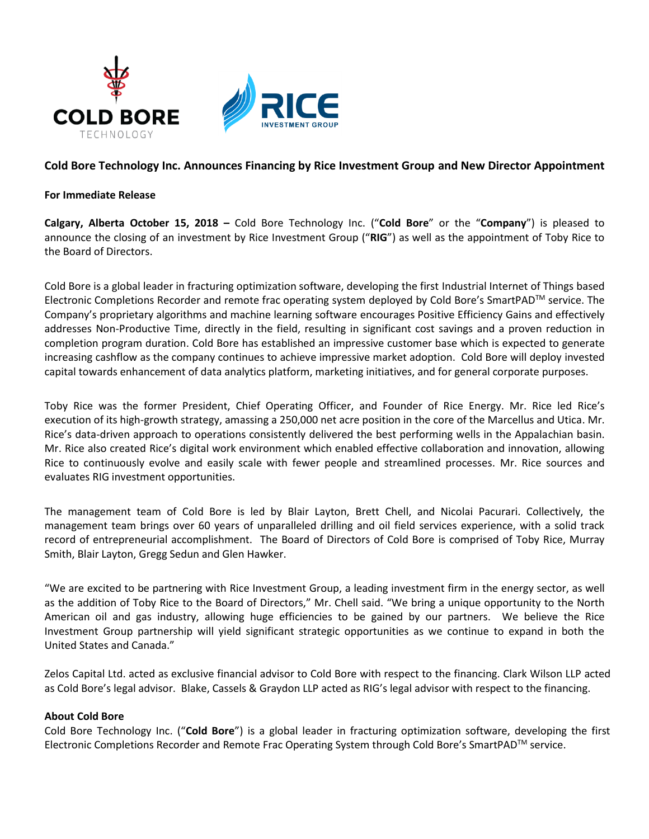

# **Cold Bore Technology Inc. Announces Financing by Rice Investment Group and New Director Appointment**

## **For Immediate Release**

**Calgary, Alberta October 15, 2018 –** Cold Bore Technology Inc. ("**Cold Bore**" or the "**Company**") is pleased to announce the closing of an investment by Rice Investment Group ("**RIG**") as well as the appointment of Toby Rice to the Board of Directors.

Cold Bore is a global leader in fracturing optimization software, developing the first Industrial Internet of Things based Electronic Completions Recorder and remote frac operating system deployed by Cold Bore's SmartPADTM service. The Company's proprietary algorithms and machine learning software encourages Positive Efficiency Gains and effectively addresses Non-Productive Time, directly in the field, resulting in significant cost savings and a proven reduction in completion program duration. Cold Bore has established an impressive customer base which is expected to generate increasing cashflow as the company continues to achieve impressive market adoption. Cold Bore will deploy invested capital towards enhancement of data analytics platform, marketing initiatives, and for general corporate purposes.

Toby Rice was the former President, Chief Operating Officer, and Founder of Rice Energy. Mr. Rice led Rice's execution of its high-growth strategy, amassing a 250,000 net acre position in the core of the Marcellus and Utica. Mr. Rice's data-driven approach to operations consistently delivered the best performing wells in the Appalachian basin. Mr. Rice also created Rice's digital work environment which enabled effective collaboration and innovation, allowing Rice to continuously evolve and easily scale with fewer people and streamlined processes. Mr. Rice sources and evaluates RIG investment opportunities.

The management team of Cold Bore is led by Blair Layton, Brett Chell, and Nicolai Pacurari. Collectively, the management team brings over 60 years of unparalleled drilling and oil field services experience, with a solid track record of entrepreneurial accomplishment. The Board of Directors of Cold Bore is comprised of Toby Rice, Murray Smith, Blair Layton, Gregg Sedun and Glen Hawker.

"We are excited to be partnering with Rice Investment Group, a leading investment firm in the energy sector, as well as the addition of Toby Rice to the Board of Directors," Mr. Chell said. "We bring a unique opportunity to the North American oil and gas industry, allowing huge efficiencies to be gained by our partners. We believe the Rice Investment Group partnership will yield significant strategic opportunities as we continue to expand in both the United States and Canada."

Zelos Capital Ltd. acted as exclusive financial advisor to Cold Bore with respect to the financing. Clark Wilson LLP acted as Cold Bore's legal advisor. Blake, Cassels & Graydon LLP acted as RIG's legal advisor with respect to the financing.

#### **About Cold Bore**

Cold Bore Technology Inc. ("**Cold Bore**") is a global leader in fracturing optimization software, developing the first Electronic Completions Recorder and Remote Frac Operating System through Cold Bore's SmartPADTM service.